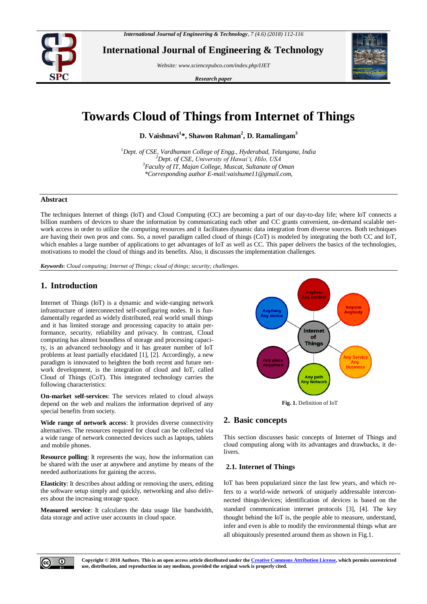

**International Journal of Engineering & Technology**

*Website: [www.sciencepubco.com/index.php/IJET](http://www.sciencepubco.com/index.php/IJET)*

*Research paper*



# **Towards Cloud of Things from Internet of Things**

**D. Vaishnavi<sup>1</sup> \*, Shawon Rahman<sup>2</sup> , D. Ramalingam<sup>3</sup>**

*Dept. of CSE, Vardhaman College of Engg., Hyderabad, Telangana, India Dept. of CSE, University of Hawaiʻi, Hilo, USA Faculty of IT, Majan College, Muscat, Sultanate of Oman \*Corresponding author E-mail:vaishume11@gmail.com,*

# **Abstract**

The techniques Internet of things (IoT) and Cloud Computing (CC) are becoming a part of our day-to-day life; where IoT connects a billion numbers of devices to share the information by communicating each other and CC grants convenient, on-demand scalable network access in order to utilize the computing resources and it facilitates dynamic data integration from diverse sources. Both techniques are having their own pros and cons. So, a novel paradigm called cloud of things (CoT) is modeled by integrating the both CC and IoT, which enables a large number of applications to get advantages of IoT as well as CC. This paper delivers the basics of the technologies, motivations to model the cloud of things and its benefits. Also, it discusses the implementation challenges.

*Keywords*: *Cloud computing; Internet of Things; cloud of things; security; challenges.*

# **1. Introduction**

Internet of Things (IoT) is a dynamic and wide-ranging network infrastructure of interconnected self-configuring nodes. It is fundamentally regarded as widely distributed, real world small things and it has limited storage and processing capacity to attain performance, security, reliability and privacy. In contrast, Cloud computing has almost boundless of storage and processing capacity, is an advanced technology and it has greater number of IoT problems at least partially elucidated [1], [2]. Accordingly, a new paradigm is innovated to heighten the both recent and future network development, is the integration of cloud and IoT, called Cloud of Things (CoT). This integrated technology carries the following characteristics:

**On-market self-services**: The services related to cloud always depend on the web and realizes the information deprived of any special benefits from society.

**Wide range of network access**: It provides diverse connectivity alternatives. The resources required for cloud can be collected via a wide range of network connected devices such as laptops, tablets and mobile phones.

**Resource polling**: It represents the way, how the information can be shared with the user at anywhere and anytime by means of the needed authorizations for gaining the access.

**Elasticity**: It describes about adding or removing the users, editing the software setup simply and quickly, networking and also delivers about the increasing storage space.

**Measured service**: It calculates the data usage like bandwidth, data storage and active user accounts in cloud space.



**Fig. 1.** Definition of IoT

# **2. Basic concepts**

This section discusses basic concepts of Internet of Things and cloud computing along with its advantages and drawbacks, it delivers.

### **2.1. Internet of Things**

IoT has been popularized since the last few years, and which refers to a world-wide network of uniquely addressable interconnected things/devices; identification of devices is based on the standard communication internet protocols [3], [4]. The key thought behind the IoT is, the people able to measure, understand, infer and even is able to modify the environmental things what are all ubiquitously presented around them as shown in Fig.1.

 $\odot$ 

**Copyright © 2018 Authors. This is an open access article distributed under th[e Creative Commons Attribution License,](http://creativecommons.org/licenses/by/3.0/) which permits unrestricted use, distribution, and reproduction in any medium, provided the original work is properly cited.**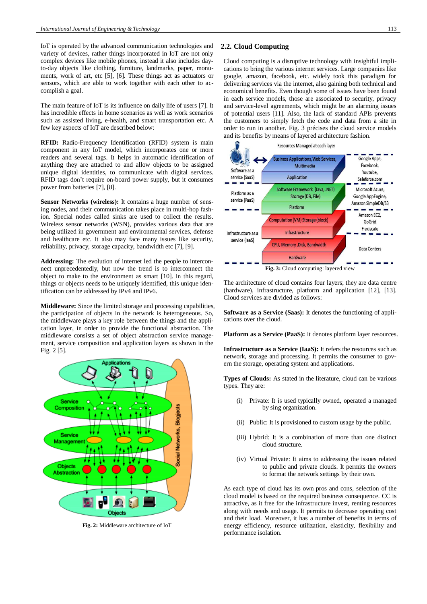IoT is operated by the advanced communication technologies and variety of devices, rather things incorporated in IoT are not only complex devices like mobile phones, instead it also includes dayto-day objects like clothing, furniture, landmarks, paper, monuments, work of art, etc [5], [6]. These things act as actuators or sensors, which are able to work together with each other to accomplish a goal.

The main feature of IoT is its influence on daily life of users [7]. It has incredible effects in home scenarios as well as work scenarios such as assisted living, e-health, and smart transportation etc. A few key aspects of IoT are described below:

**RFID:** Radio-Frequency Identification (RFID) system is main component in any IoT model, which incorporates one or more readers and several tags. It helps in automatic identification of anything they are attached to and allow objects to be assigned unique digital identities, to communicate with digital services. RFID tags don't require on-board power supply, but it consumes power from batteries [7], [8].

**Sensor Networks (wireless):** It contains a huge number of sensing nodes, and their communication takes place in multi-hop fashion. Special nodes called sinks are used to collect the results. Wireless sensor networks (WSN), provides various data that are being utilized in government and environmental services, defense and healthcare etc. It also may face many issues like security, reliability, privacy, storage capacity, bandwidth etc [7], [9].

**Addressing:** The evolution of internet led the people to interconnect unprecedentedly, but now the trend is to interconnect the object to make to the environment as smart [10]. In this regard, things or objects needs to be uniquely identified, this unique identification can be addressed by IPv4 and IPv6.

**Middleware:** Since the limited storage and processing capabilities, the participation of objects in the network is heterogeneous. So, the middleware plays a key role between the things and the application layer, in order to provide the functional abstraction. The middleware consists a set of object abstraction service management, service composition and application layers as shown in the Fig. 2 [5].



**Fig. 2:** Middleware architecture of IoT

# **2.2. Cloud Computing**

Cloud computing is a disruptive technology with insightful implications to bring the various internet services. Large companies like google, amazon, facebook, etc. widely took this paradigm for delivering services via the internet, also gaining both technical and economical benefits. Even though some of issues have been found in each service models, those are associated to security, privacy and service-level agreements, which might be an alarming issues of potential users [11]. Also, the lack of standard APIs prevents the customers to simply fetch the code and data from a site in order to run in another. Fig. 3 précises the cloud service models and its benefits by means of layered architecture fashion.



The architecture of cloud contains four layers; they are data centre (hardware), infrastructure, platform and application [12], [13]. Cloud services are divided as follows:

**Software as a Service (Saas):** It denotes the functioning of applications over the cloud.

**Platform as a Service (PaaS):** It denotes platform layer resources.

**Infrastructure as a Service (IaaS):** It refers the resources such as network, storage and processing. It permits the consumer to govern the storage, operating system and applications.

**Types of Clouds:** As stated in the literature, cloud can be various types. They are:

- (i) Private: It is used typically owned, operated a managed by sing organization.
- (ii) Public: It is provisioned to custom usage by the public.
- (iii) Hybrid: It is a combination of more than one distinct cloud structure.
- (iv) Virtual Private: It aims to addressing the issues related to public and private clouds. It permits the owners to format the network settings by their own.

As each type of cloud has its own pros and cons, selection of the cloud model is based on the required business consequence. CC is attractive, as it free for the infrastructure invest, renting resources along with needs and usage. It permits to decrease operating cost and their load. Moreover, it has a number of benefits in terms of energy efficiency, resource utilization, elasticity, flexibility and performance isolation.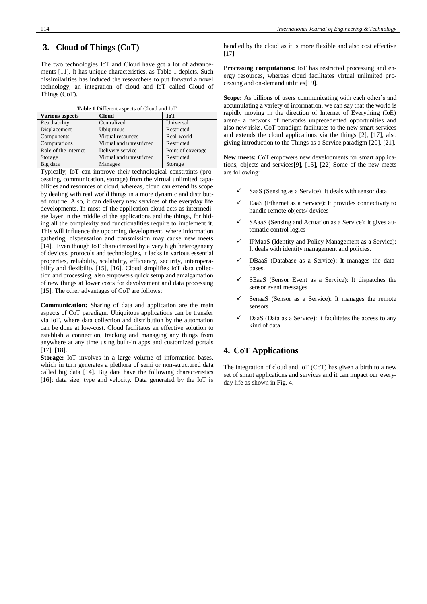# **3. Cloud of Things (CoT)**

The two technologies IoT and Cloud have got a lot of advancements [11]. It has unique characteristics, as Table 1 depicts. Such dissimilarities has induced the researchers to put forward a novel technology; an integration of cloud and IoT called Cloud of Things (CoT).

| <b>Various aspects</b> | <b>Cloud</b>             | <b>IoT</b>        |
|------------------------|--------------------------|-------------------|
| Reachability           | Centralized              | Universal         |
| Displacement           | Ubiquitous               | Restricted        |
| Components             | Virtual resources        | Real-world        |
| Computations           | Virtual and unrestricted | Restricted        |
| Role of the internet   | Delivery service         | Point of coverage |
| Storage                | Virtual and unrestricted | Restricted        |
| Big data               | Manages                  | Storage           |

Typically, IoT can improve their technological constraints (processing, communication, storage) from the virtual unlimited capabilities and resources of cloud, whereas, cloud can extend its scope by dealing with real world things in a more dynamic and distributed routine. Also, it can delivery new services of the everyday life developments. In most of the application cloud acts as intermediate layer in the middle of the applications and the things, for hiding all the complexity and functionalities require to implement it. This will influence the upcoming development, where information gathering, dispensation and transmission may cause new meets [14]. Even though IoT characterized by a very high heterogeneity of devices, protocols and technologies, it lacks in various essential properties, reliability, scalability, efficiency, security, interoperability and flexibility [15], [16]. Cloud simplifies IoT data collection and processing, also empowers quick setup and amalgamation of new things at lower costs for devolvement and data processing [15]. The other advantages of CoT are follows:

**Communication:** Sharing of data and application are the main aspects of CoT paradigm. Ubiquitous applications can be transfer via IoT, where data collection and distribution by the automation can be done at low-cost. Cloud facilitates an effective solution to establish a connection, tracking and managing any things from anywhere at any time using built-in apps and customized portals [17], [18].

**Storage:** IoT involves in a large volume of information bases, which in turn generates a plethora of semi or non-structured data called big data [14]. Big data have the following characteristics [16]: data size, type and velocity. Data generated by the IoT is

handled by the cloud as it is more flexible and also cost effective [17].

**Processing computations:** IoT has restricted processing and energy resources, whereas cloud facilitates virtual unlimited processing and on-demand utilities[19].

**Scope:** As billions of users communicating with each other's and accumulating a variety of information, we can say that the world is rapidly moving in the direction of Internet of Everything (IoE) arena- a network of networks unprecedented opportunities and also new risks. CoT paradigm facilitates to the new smart services and extends the cloud applications via the things [2], [17], also giving introduction to the Things as a Service paradigm [20], [21].

**New meets:** CoT empowers new developments for smart applications, objects and services[9], [15], [22] Some of the new meets are following:

- SaaS (Sensing as a Service): It deals with sensor data
- EaaS (Ethernet as a Service): It provides connectivity to handle remote objects/ devices
- SAaaS (Sensing and Actuation as a Service): It gives automatic control logics
- IPMaaS (Identity and Policy Management as a Service): It deals with identity management and policies.
- DBaaS (Database as a Service): It manages the databases.
- SEaaS (Sensor Event as a Service): It dispatches the sensor event messages
- SenaaS (Sensor as a Service): It manages the remote sensors
- DaaS (Data as a Service): It facilitates the access to any kind of data.

# **4. CoT Applications**

The integration of cloud and IoT (CoT) has given a birth to a new set of smart applications and services and it can impact our everyday life as shown in Fig. 4.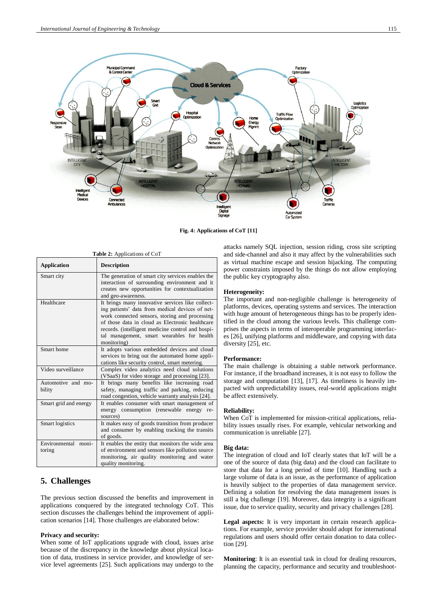

**Fig. 4: Applications of CoT [11]**

| Table 2: Applications of CoT     |                                                                                                                                                                                                                                                                                                                            |  |
|----------------------------------|----------------------------------------------------------------------------------------------------------------------------------------------------------------------------------------------------------------------------------------------------------------------------------------------------------------------------|--|
| <b>Application</b>               | <b>Description</b>                                                                                                                                                                                                                                                                                                         |  |
| Smart city                       | The generation of smart city services enables the<br>interaction of surrounding environment and it<br>creates new opportunities for contextualization<br>and geo-awareness.                                                                                                                                                |  |
| Healthcare                       | It brings many innovative services like collect-<br>ing patients' data from medical devices of net-<br>work connected sensors, storing and processing<br>of those data in cloud as Electronic healthcare<br>records. (intelligent medicine control and hospi-<br>tal management, smart wearables for health<br>monitoring) |  |
| Smart home                       | It adopts various embedded devices and cloud<br>services to bring out the automated home appli-<br>cations like security control, smart metering.                                                                                                                                                                          |  |
| Video surveillance               | Complex video analytics need cloud solutions<br>(VSaaS) for video storage and processing [23].                                                                                                                                                                                                                             |  |
| Automotive and mo-<br>bility     | It brings many benefits like increasing road<br>safety, managing traffic and parking, reducing<br>road congestion, vehicle warranty analysis [24].                                                                                                                                                                         |  |
| Smart grid and energy            | It enables consumer with smart management of<br>energy consumption (renewable energy re-<br>sources)                                                                                                                                                                                                                       |  |
| Smart logistics                  | It makes easy of goods transition from producer<br>and consumer by enabling tracking the transits<br>of goods.                                                                                                                                                                                                             |  |
| Environmental<br>moni-<br>toring | It enables the entity that monitors the wide area<br>of environment and sensors like pollution source<br>monitoring, air quality monitoring and water<br>quality monitoring.                                                                                                                                               |  |

# **5. Challenges**

The previous section discussed the benefits and improvement in applications conquered by the integrated technology CoT. This section discusses the challenges behind the improvement of application scenarios [14]. Those challenges are elaborated below:

### **Privacy and security:**

When some of IoT applications upgrade with cloud, issues arise because of the discrepancy in the knowledge about physical location of data, trustiness in service provider, and knowledge of service level agreements [25]. Such applications may undergo to the attacks namely SQL injection, session riding, cross site scripting and side-channel and also it may affect by the vulnerabilities such as virtual machine escape and session hijacking. The computing power constraints imposed by the things do not allow employing the public key cryptography also.

### **Heterogeneity:**

The important and non-negligible challenge is heterogeneity of platforms, devices, operating systems and services. The interaction with huge amount of heterogeneous things has to be properly identified in the cloud among the various levels. This challenge comprises the aspects in terms of interoperable programming interfaces [26], unifying platforms and middleware, and copying with data diversity [25], etc.

### **Performance:**

The main challenge is obtaining a stable network performance. For instance, if the broadband increases, it is not easy to follow the storage and computation [13], [17]. As timeliness is heavily impacted with unpredictability issues, real-world applications might be affect extensively.

### **Reliability:**

When CoT is implemented for mission-critical applications, reliability issues usually rises. For example, vehicular networking and communication is unreliable [27].

#### **Big data:**

The integration of cloud and IoT clearly states that IoT will be a one of the source of data (big data) and the cloud can facilitate to store that data for a long period of time [10]. Handling such a large volume of data is an issue, as the performance of application is heavily subject to the properties of data management service. Defining a solution for resolving the data management issues is still a big challenge [19]. Moreover, data integrity is a significant issue, due to service quality, security and privacy challenges [28].

**Legal aspects:** It is very important in certain research applications. For example, service provider should adopt for international regulations and users should offer certain donation to data collection [29].

**Monitoring**: It is an essential task in cloud for dealing resources, planning the capacity, performance and security and troubleshoot